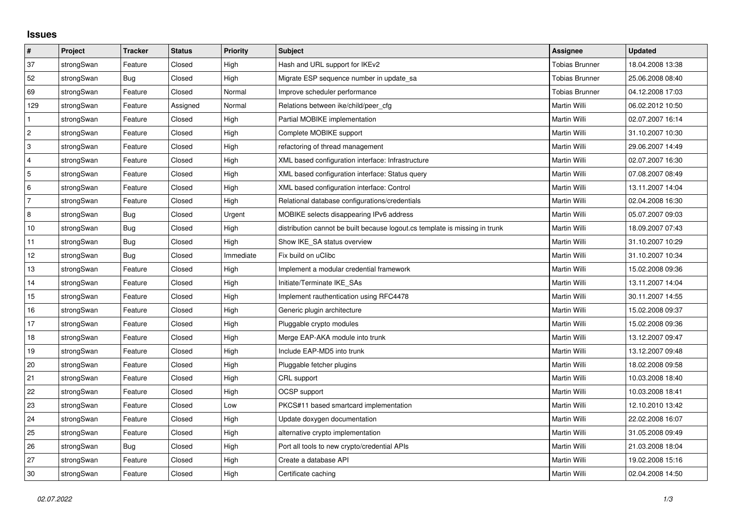## **Issues**

| $\vert$ #                 | Project    | <b>Tracker</b> | <b>Status</b> | Priority  | <b>Subject</b>                                                              | <b>Assignee</b>       | <b>Updated</b>   |
|---------------------------|------------|----------------|---------------|-----------|-----------------------------------------------------------------------------|-----------------------|------------------|
| 37                        | strongSwan | Feature        | Closed        | High      | Hash and URL support for IKEv2                                              | <b>Tobias Brunner</b> | 18.04.2008 13:38 |
| 52                        | strongSwan | Bug            | Closed        | High      | Migrate ESP sequence number in update sa                                    | <b>Tobias Brunner</b> | 25.06.2008 08:40 |
| 69                        | strongSwan | Feature        | Closed        | Normal    | Improve scheduler performance                                               | <b>Tobias Brunner</b> | 04.12.2008 17:03 |
| 129                       | strongSwan | Feature        | Assigned      | Normal    | Relations between ike/child/peer cfg                                        | Martin Willi          | 06.02.2012 10:50 |
| $\mathbf{1}$              | strongSwan | Feature        | Closed        | High      | Partial MOBIKE implementation                                               | <b>Martin Willi</b>   | 02.07.2007 16:14 |
| $\sqrt{2}$                | strongSwan | Feature        | Closed        | High      | Complete MOBIKE support                                                     | Martin Willi          | 31.10.2007 10:30 |
| $\ensuremath{\mathsf{3}}$ | strongSwan | Feature        | Closed        | High      | refactoring of thread management                                            | Martin Willi          | 29.06.2007 14:49 |
| $\overline{4}$            | strongSwan | Feature        | Closed        | High      | XML based configuration interface: Infrastructure                           | Martin Willi          | 02.07.2007 16:30 |
| $\overline{5}$            | strongSwan | Feature        | Closed        | High      | XML based configuration interface: Status query                             | Martin Willi          | 07.08.2007 08:49 |
| 6                         | strongSwan | Feature        | Closed        | High      | XML based configuration interface: Control                                  | Martin Willi          | 13.11.2007 14:04 |
| $\overline{7}$            | strongSwan | Feature        | Closed        | High      | Relational database configurations/credentials                              | Martin Willi          | 02.04.2008 16:30 |
| 8                         | strongSwan | <b>Bug</b>     | Closed        | Urgent    | MOBIKE selects disappearing IPv6 address                                    | Martin Willi          | 05.07.2007 09:03 |
| 10                        | strongSwan | Bug            | Closed        | High      | distribution cannot be built because logout.cs template is missing in trunk | Martin Willi          | 18.09.2007 07:43 |
| 11                        | strongSwan | <b>Bug</b>     | Closed        | High      | Show IKE_SA status overview                                                 | Martin Willi          | 31.10.2007 10:29 |
| 12                        | strongSwan | Bug            | Closed        | Immediate | Fix build on uClibc                                                         | Martin Willi          | 31.10.2007 10:34 |
| 13                        | strongSwan | Feature        | Closed        | High      | Implement a modular credential framework                                    | Martin Willi          | 15.02.2008 09:36 |
| 14                        | strongSwan | Feature        | Closed        | High      | Initiate/Terminate IKE_SAs                                                  | Martin Willi          | 13.11.2007 14:04 |
| 15                        | strongSwan | Feature        | Closed        | High      | Implement rauthentication using RFC4478                                     | Martin Willi          | 30.11.2007 14:55 |
| 16                        | strongSwan | Feature        | Closed        | High      | Generic plugin architecture                                                 | Martin Willi          | 15.02.2008 09:37 |
| 17                        | strongSwan | Feature        | Closed        | High      | Pluggable crypto modules                                                    | Martin Willi          | 15.02.2008 09:36 |
| 18                        | strongSwan | Feature        | Closed        | High      | Merge EAP-AKA module into trunk                                             | Martin Willi          | 13.12.2007 09:47 |
| 19                        | strongSwan | Feature        | Closed        | High      | Include EAP-MD5 into trunk                                                  | Martin Willi          | 13.12.2007 09:48 |
| 20                        | strongSwan | Feature        | Closed        | High      | Pluggable fetcher plugins                                                   | Martin Willi          | 18.02.2008 09:58 |
| 21                        | strongSwan | Feature        | Closed        | High      | CRL support                                                                 | Martin Willi          | 10.03.2008 18:40 |
| 22                        | strongSwan | Feature        | Closed        | High      | OCSP support                                                                | Martin Willi          | 10.03.2008 18:41 |
| 23                        | strongSwan | Feature        | Closed        | Low       | PKCS#11 based smartcard implementation                                      | Martin Willi          | 12.10.2010 13:42 |
| 24                        | strongSwan | Feature        | Closed        | High      | Update doxygen documentation                                                | Martin Willi          | 22.02.2008 16:07 |
| 25                        | strongSwan | Feature        | Closed        | High      | alternative crypto implementation                                           | Martin Willi          | 31.05.2008 09:49 |
| 26                        | strongSwan | <b>Bug</b>     | Closed        | High      | Port all tools to new crypto/credential APIs                                | Martin Willi          | 21.03.2008 18:04 |
| 27                        | strongSwan | Feature        | Closed        | High      | Create a database API                                                       | Martin Willi          | 19.02.2008 15:16 |
| 30                        | strongSwan | Feature        | Closed        | High      | Certificate caching                                                         | Martin Willi          | 02.04.2008 14:50 |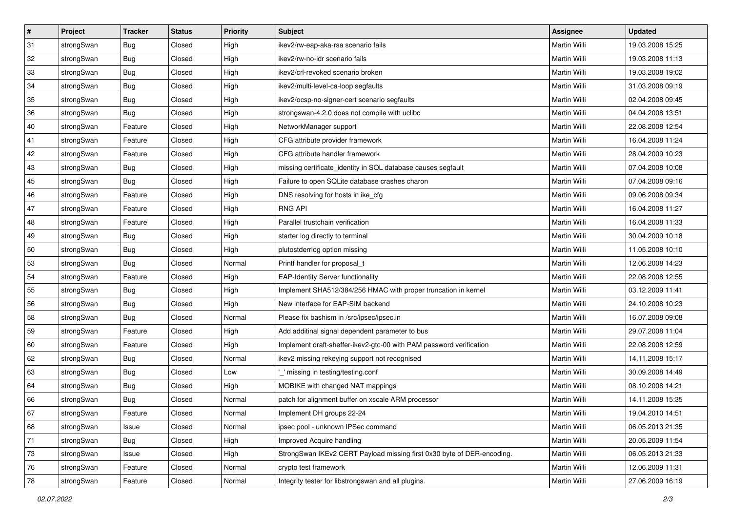| $\vert$ # | Project    | <b>Tracker</b> | <b>Status</b> | Priority | <b>Subject</b>                                                         | <b>Assignee</b>     | <b>Updated</b>   |
|-----------|------------|----------------|---------------|----------|------------------------------------------------------------------------|---------------------|------------------|
| 31        | strongSwan | <b>Bug</b>     | Closed        | High     | ikev2/rw-eap-aka-rsa scenario fails                                    | Martin Willi        | 19.03.2008 15:25 |
| 32        | strongSwan | Bug            | Closed        | High     | ikev2/rw-no-idr scenario fails                                         | Martin Willi        | 19.03.2008 11:13 |
| 33        | strongSwan | <b>Bug</b>     | Closed        | High     | ikev2/crl-revoked scenario broken                                      | Martin Willi        | 19.03.2008 19:02 |
| 34        | strongSwan | <b>Bug</b>     | Closed        | High     | ikev2/multi-level-ca-loop segfaults                                    | Martin Willi        | 31.03.2008 09:19 |
| 35        | strongSwan | Bug            | Closed        | High     | ikev2/ocsp-no-signer-cert scenario segfaults                           | Martin Willi        | 02.04.2008 09:45 |
| 36        | strongSwan | <b>Bug</b>     | Closed        | High     | strongswan-4.2.0 does not compile with uclibe                          | Martin Willi        | 04.04.2008 13:51 |
| 40        | strongSwan | Feature        | Closed        | High     | NetworkManager support                                                 | Martin Willi        | 22.08.2008 12:54 |
| 41        | strongSwan | Feature        | Closed        | High     | CFG attribute provider framework                                       | Martin Willi        | 16.04.2008 11:24 |
| 42        | strongSwan | Feature        | Closed        | High     | CFG attribute handler framework                                        | Martin Willi        | 28.04.2009 10:23 |
| 43        | strongSwan | Bug            | Closed        | High     | missing certificate_identity in SQL database causes segfault           | Martin Willi        | 07.04.2008 10:08 |
| 45        | strongSwan | Bug            | Closed        | High     | Failure to open SQLite database crashes charon                         | Martin Willi        | 07.04.2008 09:16 |
| 46        | strongSwan | Feature        | Closed        | High     | DNS resolving for hosts in ike_cfg                                     | <b>Martin Willi</b> | 09.06.2008 09:34 |
| 47        | strongSwan | Feature        | Closed        | High     | <b>RNG API</b>                                                         | Martin Willi        | 16.04.2008 11:27 |
| 48        | strongSwan | Feature        | Closed        | High     | Parallel trustchain verification                                       | Martin Willi        | 16.04.2008 11:33 |
| 49        | strongSwan | Bug            | Closed        | High     | starter log directly to terminal                                       | Martin Willi        | 30.04.2009 10:18 |
| 50        | strongSwan | <b>Bug</b>     | Closed        | High     | plutostderrlog option missing                                          | Martin Willi        | 11.05.2008 10:10 |
| 53        | strongSwan | <b>Bug</b>     | Closed        | Normal   | Printf handler for proposal_t                                          | Martin Willi        | 12.06.2008 14:23 |
| 54        | strongSwan | Feature        | Closed        | High     | <b>EAP-Identity Server functionality</b>                               | Martin Willi        | 22.08.2008 12:55 |
| 55        | strongSwan | <b>Bug</b>     | Closed        | High     | Implement SHA512/384/256 HMAC with proper truncation in kernel         | Martin Willi        | 03.12.2009 11:41 |
| 56        | strongSwan | Bug            | Closed        | High     | New interface for EAP-SIM backend                                      | Martin Willi        | 24.10.2008 10:23 |
| 58        | strongSwan | Bug            | Closed        | Normal   | Please fix bashism in /src/ipsec/ipsec.in                              | Martin Willi        | 16.07.2008 09:08 |
| 59        | strongSwan | Feature        | Closed        | High     | Add additinal signal dependent parameter to bus                        | Martin Willi        | 29.07.2008 11:04 |
| 60        | strongSwan | Feature        | Closed        | High     | Implement draft-sheffer-ikev2-gtc-00 with PAM password verification    | Martin Willi        | 22.08.2008 12:59 |
| 62        | strongSwan | <b>Bug</b>     | Closed        | Normal   | ikev2 missing rekeying support not recognised                          | Martin Willi        | 14.11.2008 15:17 |
| 63        | strongSwan | <b>Bug</b>     | Closed        | Low      | " missing in testing/testing.conf                                      | Martin Willi        | 30.09.2008 14:49 |
| 64        | strongSwan | <b>Bug</b>     | Closed        | High     | MOBIKE with changed NAT mappings                                       | Martin Willi        | 08.10.2008 14:21 |
| 66        | strongSwan | Bug            | Closed        | Normal   | patch for alignment buffer on xscale ARM processor                     | Martin Willi        | 14.11.2008 15:35 |
| 67        | strongSwan | Feature        | Closed        | Normal   | Implement DH groups 22-24                                              | Martin Willi        | 19.04.2010 14:51 |
| 68        | strongSwan | Issue          | Closed        | Normal   | ipsec pool - unknown IPSec command                                     | Martin Willi        | 06.05.2013 21:35 |
| 71        | strongSwan | Bug            | Closed        | High     | Improved Acquire handling                                              | Martin Willi        | 20.05.2009 11:54 |
| 73        | strongSwan | Issue          | Closed        | High     | StrongSwan IKEv2 CERT Payload missing first 0x30 byte of DER-encoding. | Martin Willi        | 06.05.2013 21:33 |
| 76        | strongSwan | Feature        | Closed        | Normal   | crypto test framework                                                  | Martin Willi        | 12.06.2009 11:31 |
| 78        | strongSwan | Feature        | Closed        | Normal   | Integrity tester for libstrongswan and all plugins.                    | Martin Willi        | 27.06.2009 16:19 |